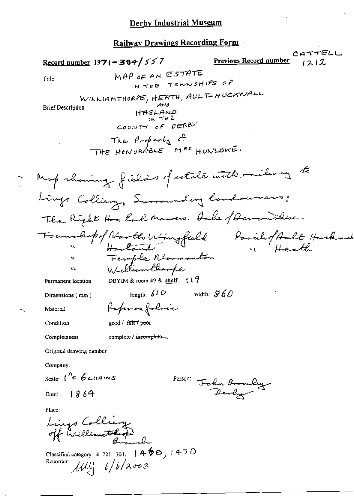#### Railway Drawings Recording Form

CATTELL Record number  $1971 - 384 / 557$ Previous Record number 1212 MAP OF AN ESTATE Title IN THE TOWNSHIPS OF WILLIAMTHORPE, HEATH, AULT-HUCKWALL **Brief Description**  $HASLAND$ COUNTY OF DERBY The Property of THE HONORABLE MAS HUNLOWE. Map showing fields of estate with milway to Lings Colling, Surrounding landowners; The Right Hon Earl Manners. Onke of Deverishing. Foundapof North Wingfield Parishof Ault Husknab<br>Harloud Femple Roomanton Williamthoope ١L DBYIM & room 49 & shelf:  $117$ Permanent location length:  $\int d^2 \phi$ width:  $$60$ Dimensions (mm) Rofer on folice Material good / fair / peer Condition complete / incomplete-Completeness Original drawing number Company: Scale  $1'' = 6$ chains Person: John Bronley 1864 Date: Place: Lings Colliery Classified category: 4, 721, 301,  $(460, 1470)$ Recorder:  $\mathcal{U}\mathcal{U}$  6/6/2003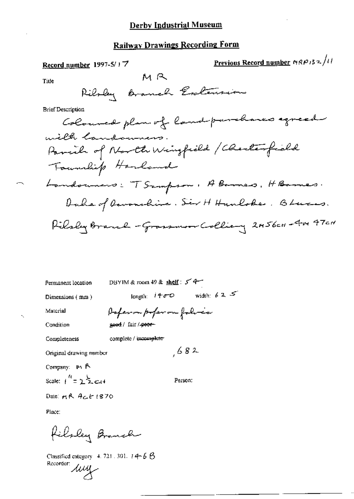# **Railway Drawings Recording Form**

Record number 1997-5/17

Previous Record number  $MRP/32/11$ 

Title

Ribby Branch Entension

MR

**Brief Description** 

DBYIM & room 49 & shelf:  $5 - 4$ Permanent location

Dimensions (mm)

length:  $1400$  width:  $625$ 

Material

Poferon poferon folice geed / fair / peor-

Condition

Completeness

complete / imcomplete

Original drawing number

Company: M. A. Scale:  $1^{\frac{R}{2}} = 2^{\frac{1}{2}} \approx 14$ 

Person:

 $682$ 

Date: MR ACE 1870

Place:

filsley Branch

Classified category 4, 721, 301,  $t$  4-6  $\beta$ Classing<br>Recorder: *LULL*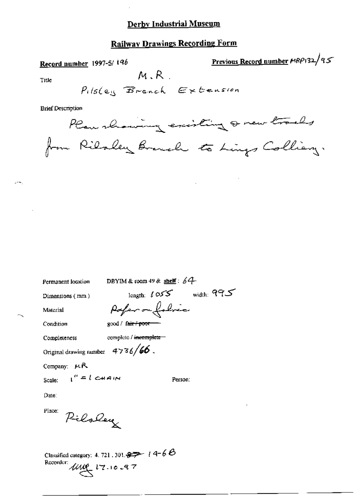## **Railway Drawings Recording Form**

Record number 1997-5/196

Previous Record number MRP132/95

Title

u-l

$$
\mathit{P}_{\text{ils}}(\mathit{e}_{\text{is}} \mathbf{B}_{\text{ranch}} \mathbf{E} \times \mathit{bension}
$$

 $M, R$ .

**Brief Description** 

Plan showing existing a new tracks from Rilaley Branch to Lings Colliany.

| Permanent location |  |
|--------------------|--|
|--------------------|--|

DBYIM & room 49 & shelf :  $64$ 

Dimensions (mm)

length:  $t \in S$  width:  $995$ Pofer on folice

Condition

Material

good / fair / poor-

Completeness

complete / incomplete

Original drawing number  $4736/66$ .

Company:  $\mu R$ 

Scale:

 $t'' = l$  chain

Person:

Date:

Place:

Piloley

Classified category: 4, 721, 301,  $\rightarrow$   $\rightarrow$   $1$   $4-6$   $\rightarrow$ Recorder:  $\mu$  $\mu$   $\tau$ . 10.97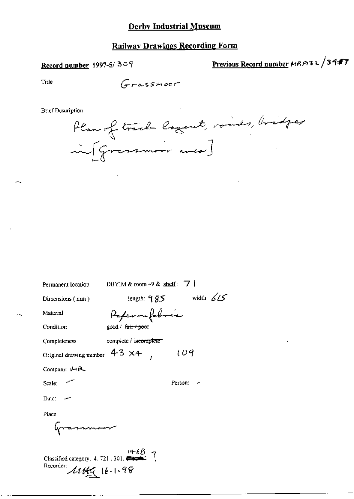#### **Railway Drawings Recording Form**

#### Record number 1997-5/309

Previous Record number HRP132/3447

Title

Grassmoor

**Brief Description** 

Plan of track layout, rouds, bridges inf Gressmoor was]

Permanent location

DBYIM & room 49 & shelf :  $\overline{7}$  |

 $109$ 

Person: -

Dimensions (mm)

length:  $95$  width:  $615$ Peperonfobre

good / fair / peer

complete / incomplete

Material

Condition

Completeness

Original drawing number  $4-3 \times 4$ ,

Company: U-R

Scale:

Date:

Place:

annum

Classified category:  $4.721.301$ . Recorder: 1149 16.1.98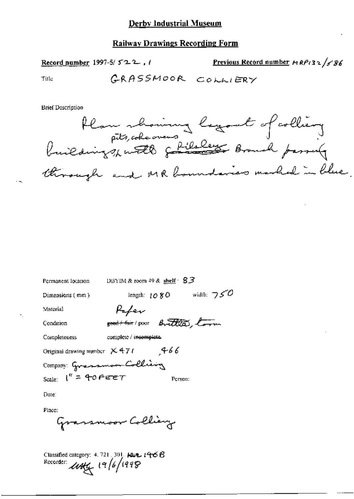#### **Railway Drawings Recording Form**

Record number 1997-5/ $522$ ,  $1$ 

Previous Record number  $MRP$ (32/586

Title

**Brief Description** 



| Permanent location                   | DBYIM & room $49$ & shelf $\cdot$ $83$                                       |                |              |
|--------------------------------------|------------------------------------------------------------------------------|----------------|--------------|
| Dimensions (mm)                      |                                                                              | length: $1080$ | width: $750$ |
| Material                             | Pafev                                                                        |                |              |
| Condition                            | sport fair pour Brittles, torn                                               |                |              |
| Completeness                         | complete / incomplete.                                                       |                |              |
| Original drawing number $\times$ 471 |                                                                              | 66 م           |              |
| Company Grassmoon Colling            |                                                                              |                |              |
| Scale: $I'' = 40$ FEET               |                                                                              | Person:        |              |
| Date:                                |                                                                              |                |              |
| Place:                               | $\epsilon$ and $\epsilon$ and $\epsilon$ $\theta$ $\theta$ $\theta$ $\theta$ |                |              |
|                                      |                                                                              |                |              |

₹

Classified category: 4, 721, 301,  $14.21$ ,  $146.6$ Recorder: 1144 19/6/1998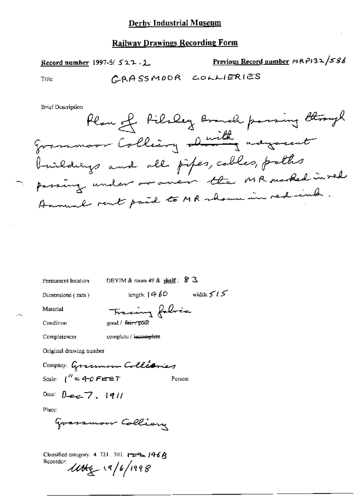## **Railway Drawings Recording Form**

Previous Record number MRP132/586 Record number 1997-5/522.2 CRASSMOOR COLLIERIES Title

**Brief Description** 

Permanent location DBYIM & room 49 & shelf:  $\frac{8}{3}$ 

Dimensions (mm)

length;  $1460$  width:  $515$ 

Material

Condition

Completeness

Fracing folice good / fair / poor

complete / incomplete

Original drawing number

Company: Grassmoon Collisiones Scale:  $\int^{\prime\prime} = 4\text{-}0$  FEET Person:

Date:  $0 - 7 - 1911$ 

Place:

Grassmow Collian

Classified category: 4. 721, 301.  $\leftarrow$   $\leftarrow$   $\left/46\right/8$ Recorder: UNG 19/6/1998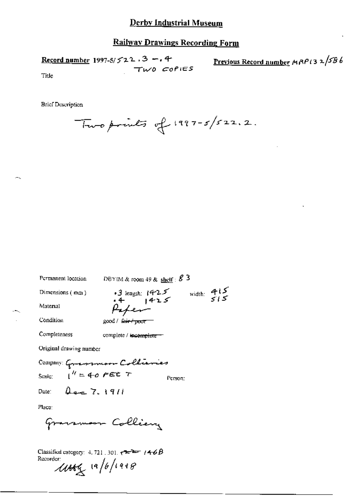#### **Railway Drawings Recording Form**

Record number 1997-5/ $5/22.3 - 0.4$ TWO COPIES Previous Record number MRP(32/586

Title

**Brief Description** 

Two prints of  $1997-5/522.2$ .

Permanent location DBYIM & room 49 & shelf:  $8^{\circ}$  3  $-3$  length: 1425 width: 415 Dimensions (mm) Material Peter Condition good / fair / poor Completeness complete / incomplete-Original drawing number Company: Grassmoon Collianies  $1'' = 4 - 0$  FEE T Scale: Person:  $2e^{-7.1911}$ Date: Place: arsmaar Colliery Gγ Classified category: 4, 721, 301,  $\tau \rightarrow 146B$ Recorder  $\mu$  19/6/1998